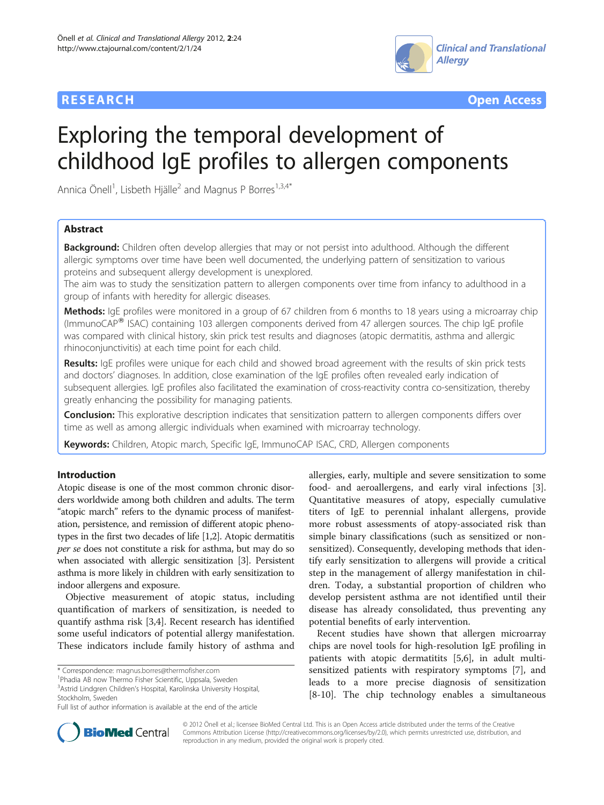



# Exploring the temporal development of childhood IgE profiles to allergen components

Annica Önell<sup>1</sup>, Lisbeth Hjälle<sup>2</sup> and Magnus P Borres<sup>1,3,4\*</sup>

# Abstract

Background: Children often develop allergies that may or not persist into adulthood. Although the different allergic symptoms over time have been well documented, the underlying pattern of sensitization to various proteins and subsequent allergy development is unexplored.

The aim was to study the sensitization pattern to allergen components over time from infancy to adulthood in a group of infants with heredity for allergic diseases.

Methods: IgE profiles were monitored in a group of 67 children from 6 months to 18 years using a microarray chip (ImmunoCAP<sup>W</sup> ISAC) containing 103 allergen components derived from 47 allergen sources. The chip IgE profile was compared with clinical history, skin prick test results and diagnoses (atopic dermatitis, asthma and allergic rhinoconjunctivitis) at each time point for each child.

Results: IgE profiles were unique for each child and showed broad agreement with the results of skin prick tests and doctors' diagnoses. In addition, close examination of the IgE profiles often revealed early indication of subsequent allergies. IgE profiles also facilitated the examination of cross-reactivity contra co-sensitization, thereby greatly enhancing the possibility for managing patients.

Conclusion: This explorative description indicates that sensitization pattern to allergen components differs over time as well as among allergic individuals when examined with microarray technology.

Keywords: Children, Atopic march, Specific IgE, ImmunoCAP ISAC, CRD, Allergen components

# Introduction

Atopic disease is one of the most common chronic disorders worldwide among both children and adults. The term "atopic march" refers to the dynamic process of manifestation, persistence, and remission of different atopic phenotypes in the first two decades of life [\[1,2\]](#page-4-0). Atopic dermatitis per se does not constitute a risk for asthma, but may do so when associated with allergic sensitization [[3](#page-4-0)]. Persistent asthma is more likely in children with early sensitization to indoor allergens and exposure.

Objective measurement of atopic status, including quantification of markers of sensitization, is needed to quantify asthma risk [[3,4\]](#page-4-0). Recent research has identified some useful indicators of potential allergy manifestation. These indicators include family history of asthma and

<sup>1</sup>Phadia AB now Thermo Fisher Scientific, Uppsala, Sweden

3 Astrid Lindgren Children's Hospital, Karolinska University Hospital, Stockholm, Sweden

allergies, early, multiple and severe sensitization to some food- and aeroallergens, and early viral infections [\[3](#page-4-0)]. Quantitative measures of atopy, especially cumulative titers of IgE to perennial inhalant allergens, provide more robust assessments of atopy-associated risk than simple binary classifications (such as sensitized or nonsensitized). Consequently, developing methods that identify early sensitization to allergens will provide a critical step in the management of allergy manifestation in children. Today, a substantial proportion of children who develop persistent asthma are not identified until their disease has already consolidated, thus preventing any potential benefits of early intervention.

Recent studies have shown that allergen microarray chips are novel tools for high-resolution IgE profiling in patients with atopic dermatitits [\[5,6](#page-4-0)], in adult multisensitized patients with respiratory symptoms [\[7](#page-4-0)], and leads to a more precise diagnosis of sensitization [[8-10](#page-4-0)]. The chip technology enables a simultaneous



© 2012 Önell et al.; licensee BioMed Central Ltd. This is an Open Access article distributed under the terms of the Creative Commons Attribution License [\(http://creativecommons.org/licenses/by/2.0\)](http://creativecommons.org/licenses/by/2.0), which permits unrestricted use, distribution, and reproduction in any medium, provided the original work is properly cited.

<sup>\*</sup> Correspondence: [magnus.borres@thermofisher.com](mailto:magnus.borres@thermofisher.com) <sup>1</sup>

Full list of author information is available at the end of the article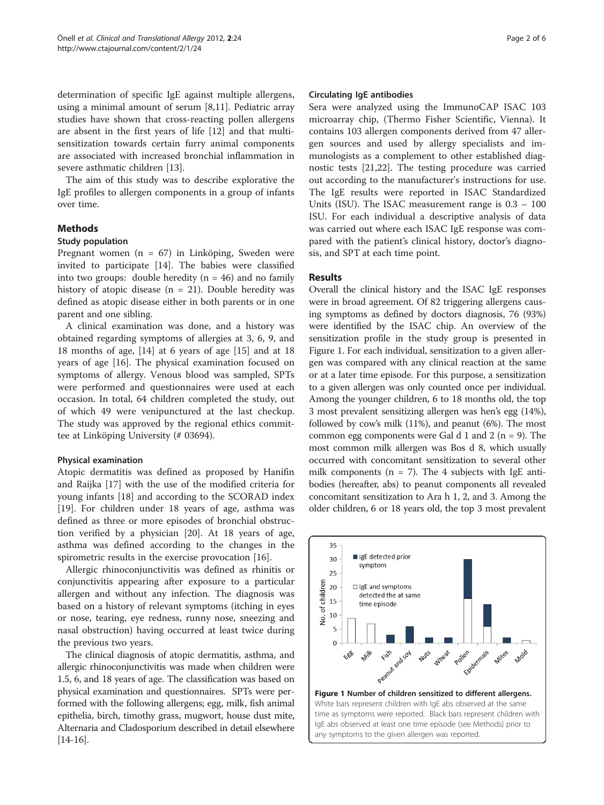<span id="page-1-0"></span>determination of specific IgE against multiple allergens, using a minimal amount of serum [\[8,11\]](#page-4-0). Pediatric array studies have shown that cross-reacting pollen allergens are absent in the first years of life [[12\]](#page-4-0) and that multisensitization towards certain furry animal components are associated with increased bronchial inflammation in severe asthmatic children [[13\]](#page-4-0).

The aim of this study was to describe explorative the IgE profiles to allergen components in a group of infants over time.

# Methods

### Study population

Pregnant women (n = 67) in Linköping, Sweden were invited to participate [[14\]](#page-5-0). The babies were classified into two groups: double heredity ( $n = 46$ ) and no family history of atopic disease  $(n = 21)$ . Double heredity was defined as atopic disease either in both parents or in one parent and one sibling.

A clinical examination was done, and a history was obtained regarding symptoms of allergies at 3, 6, 9, and 18 months of age, [[14](#page-5-0)] at 6 years of age [[15](#page-5-0)] and at 18 years of age [\[16](#page-5-0)]. The physical examination focused on symptoms of allergy. Venous blood was sampled, SPTs were performed and questionnaires were used at each occasion. In total, 64 children completed the study, out of which 49 were venipunctured at the last checkup. The study was approved by the regional ethics committee at Linköping University (# 03694).

# Physical examination

Atopic dermatitis was defined as proposed by Hanifin and Raijka [[17\]](#page-5-0) with the use of the modified criteria for young infants [\[18](#page-5-0)] and according to the SCORAD index [[19\]](#page-5-0). For children under 18 years of age, asthma was defined as three or more episodes of bronchial obstruction verified by a physician [[20\]](#page-5-0). At 18 years of age, asthma was defined according to the changes in the spirometric results in the exercise provocation [[16\]](#page-5-0).

Allergic rhinoconjunctivitis was defined as rhinitis or conjunctivitis appearing after exposure to a particular allergen and without any infection. The diagnosis was based on a history of relevant symptoms (itching in eyes or nose, tearing, eye redness, runny nose, sneezing and nasal obstruction) having occurred at least twice during the previous two years.

The clinical diagnosis of atopic dermatitis, asthma, and allergic rhinoconjunctivitis was made when children were 1.5, 6, and 18 years of age. The classification was based on physical examination and questionnaires. SPTs were performed with the following allergens; egg, milk, fish animal epithelia, birch, timothy grass, mugwort, house dust mite, Alternaria and Cladosporium described in detail elsewhere  $[14-16]$  $[14-16]$  $[14-16]$  $[14-16]$  $[14-16]$ .

#### Circulating IgE antibodies

Sera were analyzed using the ImmunoCAP ISAC 103 microarray chip, (Thermo Fisher Scientific, Vienna). It contains 103 allergen components derived from 47 allergen sources and used by allergy specialists and immunologists as a complement to other established diagnostic tests [\[21,22\]](#page-5-0). The testing procedure was carried out according to the manufacturer's instructions for use. The IgE results were reported in ISAC Standardized Units (ISU). The ISAC measurement range is 0.3 – 100 ISU. For each individual a descriptive analysis of data was carried out where each ISAC IgE response was compared with the patient's clinical history, doctor's diagnosis, and SPT at each time point.

# Results

Overall the clinical history and the ISAC IgE responses were in broad agreement. Of 82 triggering allergens causing symptoms as defined by doctors diagnosis, 76 (93%) were identified by the ISAC chip. An overview of the sensitization profile in the study group is presented in Figure 1. For each individual, sensitization to a given allergen was compared with any clinical reaction at the same or at a later time episode. For this purpose, a sensitization to a given allergen was only counted once per individual. Among the younger children, 6 to 18 months old, the top 3 most prevalent sensitizing allergen was hen's egg (14%), followed by cow's milk (11%), and peanut (6%). The most common egg components were Gal d 1 and 2 ( $n = 9$ ). The most common milk allergen was Bos d 8, which usually occurred with concomitant sensitization to several other milk components ( $n = 7$ ). The 4 subjects with IgE antibodies (hereafter, abs) to peanut components all revealed concomitant sensitization to Ara h 1, 2, and 3. Among the older children, 6 or 18 years old, the top 3 most prevalent

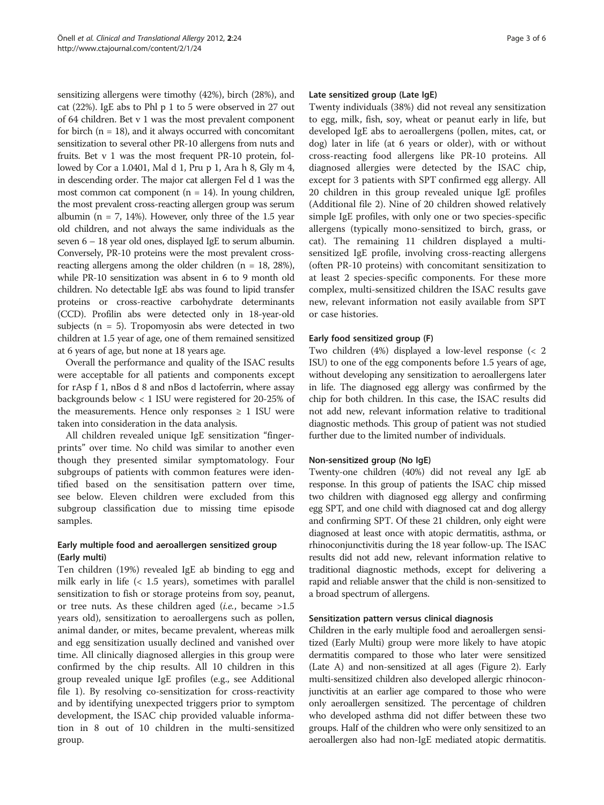sensitizing allergens were timothy (42%), birch (28%), and cat (22%). IgE abs to Phl p 1 to 5 were observed in 27 out of 64 children. Bet v 1 was the most prevalent component for birch  $(n = 18)$ , and it always occurred with concomitant sensitization to several other PR-10 allergens from nuts and fruits. Bet v 1 was the most frequent PR-10 protein, followed by Cor a 1.0401, Mal d 1, Pru p 1, Ara h 8, Gly m 4, in descending order. The major cat allergen Fel d 1 was the most common cat component ( $n = 14$ ). In young children, the most prevalent cross-reacting allergen group was serum albumin ( $n = 7$ , 14%). However, only three of the 1.5 year old children, and not always the same individuals as the seven 6 – 18 year old ones, displayed IgE to serum albumin. Conversely, PR-10 proteins were the most prevalent crossreacting allergens among the older children ( $n = 18$ , 28%), while PR-10 sensitization was absent in 6 to 9 month old children. No detectable IgE abs was found to lipid transfer proteins or cross-reactive carbohydrate determinants (CCD). Profilin abs were detected only in 18-year-old subjects ( $n = 5$ ). Tropomyosin abs were detected in two children at 1.5 year of age, one of them remained sensitized at 6 years of age, but none at 18 years age.

Overall the performance and quality of the ISAC results were acceptable for all patients and components except for rAsp f 1, nBos d 8 and nBos d lactoferrin, where assay backgrounds below < 1 ISU were registered for 20-25% of the measurements. Hence only responses  $\geq 1$  ISU were taken into consideration in the data analysis.

All children revealed unique IgE sensitization "fingerprints" over time. No child was similar to another even though they presented similar symptomatology. Four subgroups of patients with common features were identified based on the sensitisation pattern over time, see below. Eleven children were excluded from this subgroup classification due to missing time episode samples.

# Early multiple food and aeroallergen sensitized group (Early multi)

Ten children (19%) revealed IgE ab binding to egg and milk early in life (< 1.5 years), sometimes with parallel sensitization to fish or storage proteins from soy, peanut, or tree nuts. As these children aged (*i.e.*, became  $>1.5$ years old), sensitization to aeroallergens such as pollen, animal dander, or mites, became prevalent, whereas milk and egg sensitization usually declined and vanished over time. All clinically diagnosed allergies in this group were confirmed by the chip results. All 10 children in this group revealed unique IgE profiles (e.g., see Additional file [1\)](#page-4-0). By resolving co-sensitization for cross-reactivity and by identifying unexpected triggers prior to symptom development, the ISAC chip provided valuable information in 8 out of 10 children in the multi-sensitized group.

## Late sensitized group (Late IgE)

Twenty individuals (38%) did not reveal any sensitization to egg, milk, fish, soy, wheat or peanut early in life, but developed IgE abs to aeroallergens (pollen, mites, cat, or dog) later in life (at 6 years or older), with or without cross-reacting food allergens like PR-10 proteins. All diagnosed allergies were detected by the ISAC chip, except for 3 patients with SPT confirmed egg allergy. All 20 children in this group revealed unique IgE profiles (Additional file [2\)](#page-4-0). Nine of 20 children showed relatively simple IgE profiles, with only one or two species-specific allergens (typically mono-sensitized to birch, grass, or cat). The remaining 11 children displayed a multisensitized IgE profile, involving cross-reacting allergens (often PR-10 proteins) with concomitant sensitization to at least 2 species-specific components. For these more complex, multi-sensitized children the ISAC results gave new, relevant information not easily available from SPT or case histories.

# Early food sensitized group (F)

Two children (4%) displayed a low-level response (< 2 ISU) to one of the egg components before 1.5 years of age, without developing any sensitization to aeroallergens later in life. The diagnosed egg allergy was confirmed by the chip for both children. In this case, the ISAC results did not add new, relevant information relative to traditional diagnostic methods. This group of patient was not studied further due to the limited number of individuals.

#### Non-sensitized group (No IgE)

Twenty-one children (40%) did not reveal any IgE ab response. In this group of patients the ISAC chip missed two children with diagnosed egg allergy and confirming egg SPT, and one child with diagnosed cat and dog allergy and confirming SPT. Of these 21 children, only eight were diagnosed at least once with atopic dermatitis, asthma, or rhinoconjunctivitis during the 18 year follow-up. The ISAC results did not add new, relevant information relative to traditional diagnostic methods, except for delivering a rapid and reliable answer that the child is non-sensitized to a broad spectrum of allergens.

## Sensitization pattern versus clinical diagnosis

Children in the early multiple food and aeroallergen sensitized (Early Multi) group were more likely to have atopic dermatitis compared to those who later were sensitized (Late A) and non-sensitized at all ages (Figure [2\)](#page-3-0). Early multi-sensitized children also developed allergic rhinoconjunctivitis at an earlier age compared to those who were only aeroallergen sensitized. The percentage of children who developed asthma did not differ between these two groups. Half of the children who were only sensitized to an aeroallergen also had non-IgE mediated atopic dermatitis.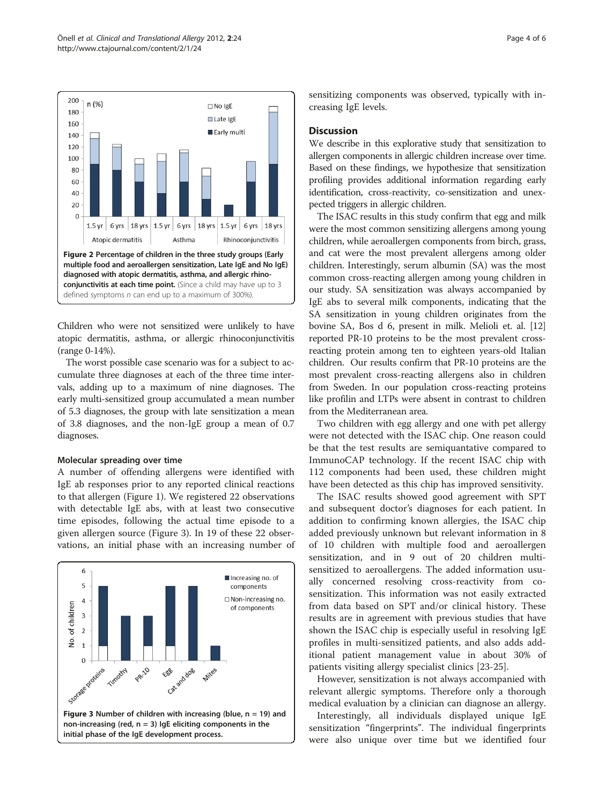<span id="page-3-0"></span>



Children who were not sensitized were unlikely to have atopic dermatitis, asthma, or allergic rhinoconjunctivitis (range 0-14%).

The worst possible case scenario was for a subject to accumulate three diagnoses at each of the three time intervals, adding up to a maximum of nine diagnoses. The early multi-sensitized group accumulated a mean number of 5.3 diagnoses, the group with late sensitization a mean of 3.8 diagnoses, and the non-IgE group a mean of 0.7 diagnoses.

#### Molecular spreading over time

A number of offending allergens were identified with IgE ab responses prior to any reported clinical reactions to that allergen (Figure [1](#page-1-0)). We registered 22 observations with detectable IgE abs, with at least two consecutive time episodes, following the actual time episode to a given allergen source (Figure 3). In 19 of these 22 observations, an initial phase with an increasing number of



sensitizing components was observed, typically with increasing IgE levels.

#### **Discussion**

We describe in this explorative study that sensitization to allergen components in allergic children increase over time. Based on these findings, we hypothesize that sensitization profiling provides additional information regarding early identification, cross-reactivity, co-sensitization and unexpected triggers in allergic children.

The ISAC results in this study confirm that egg and milk were the most common sensitizing allergens among young children, while aeroallergen components from birch, grass, and cat were the most prevalent allergens among older children. Interestingly, serum albumin (SA) was the most common cross-reacting allergen among young children in our study. SA sensitization was always accompanied by IgE abs to several milk components, indicating that the SA sensitization in young children originates from the bovine SA, Bos d 6, present in milk. Melioli et. al. [[12](#page-4-0)] reported PR-10 proteins to be the most prevalent crossreacting protein among ten to eighteen years-old Italian children. Our results confirm that PR-10 proteins are the most prevalent cross-reacting allergens also in children from Sweden. In our population cross-reacting proteins like profilin and LTPs were absent in contrast to children from the Mediterranean area.

Two children with egg allergy and one with pet allergy were not detected with the ISAC chip. One reason could be that the test results are semiquantative compared to ImmunoCAP technology. If the recent ISAC chip with 112 components had been used, these children might have been detected as this chip has improved sensitivity.

The ISAC results showed good agreement with SPT and subsequent doctor's diagnoses for each patient. In addition to confirming known allergies, the ISAC chip added previously unknown but relevant information in 8 of 10 children with multiple food and aeroallergen sensitization, and in 9 out of 20 children multisensitized to aeroallergens. The added information usually concerned resolving cross-reactivity from cosensitization. This information was not easily extracted from data based on SPT and/or clinical history. These results are in agreement with previous studies that have shown the ISAC chip is especially useful in resolving IgE profiles in multi-sensitized patients, and also adds additional patient management value in about 30% of patients visiting allergy specialist clinics [\[23](#page-5-0)-[25\]](#page-5-0).

However, sensitization is not always accompanied with relevant allergic symptoms. Therefore only a thorough medical evaluation by a clinician can diagnose an allergy.

Interestingly, all individuals displayed unique IgE sensitization "fingerprints". The individual fingerprints were also unique over time but we identified four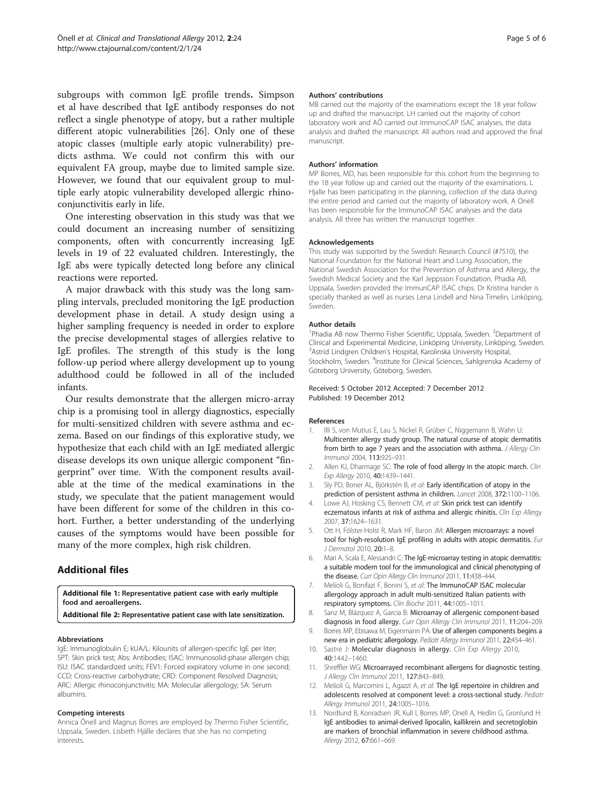<span id="page-4-0"></span>subgroups with common IgE profile trends. Simpson et al have described that IgE antibody responses do not reflect a single phenotype of atopy, but a rather multiple different atopic vulnerabilities [\[26](#page-5-0)]. Only one of these atopic classes (multiple early atopic vulnerability) predicts asthma. We could not confirm this with our equivalent FA group, maybe due to limited sample size. However, we found that our equivalent group to multiple early atopic vulnerability developed allergic rhinoconjunctivitis early in life.

One interesting observation in this study was that we could document an increasing number of sensitizing components, often with concurrently increasing IgE levels in 19 of 22 evaluated children. Interestingly, the IgE abs were typically detected long before any clinical reactions were reported.

A major drawback with this study was the long sampling intervals, precluded monitoring the IgE production development phase in detail. A study design using a higher sampling frequency is needed in order to explore the precise developmental stages of allergies relative to IgE profiles. The strength of this study is the long follow-up period where allergy development up to young adulthood could be followed in all of the included infants.

Our results demonstrate that the allergen micro-array chip is a promising tool in allergy diagnostics, especially for multi-sensitized children with severe asthma and eczema. Based on our findings of this explorative study, we hypothesize that each child with an IgE mediated allergic disease develops its own unique allergic component "fingerprint" over time. With the component results available at the time of the medical examinations in the study, we speculate that the patient management would have been different for some of the children in this cohort. Further, a better understanding of the underlying causes of the symptoms would have been possible for many of the more complex, high risk children.

# Additional files

[Additional file 1:](http://www.biomedcentral.com/content/supplementary/2045-7022-2-24-S1.docx) Representative patient case with early multiple food and aeroallergens.

[Additional file 2:](http://www.biomedcentral.com/content/supplementary/2045-7022-2-24-S2.docx) Representative patient case with late sensitization.

#### Abbreviations

IgE: Immunoglobulin E; kUA/L: Kilounits of allergen-specific IgE per liter; SPT: Skin prick test; Abs: Antibodies; ISAC: Immunosolid-phase allergen chip; ISU: ISAC standardized units; FEV1: Forced expiratory volume in one second; CCD: Cross-reactive carbohydrate; CRD: Component Resolved Diagnosis; ARC: Allergic rhinoconjunctivitis; MA: Molecular allergology; SA: Serum albumins.

#### Competing interests

Annica Önell and Magnus Borres are employed by Thermo Fisher Scientific, Uppsala, Sweden. Lisbeth Hjälle declares that she has no competing interests.

#### Authors' contributions

MB carried out the majority of the examinations except the 18 year follow up and drafted the manuscript. LH carried out the majority of cohort laboratory work and AÖ carried out ImmunoCAP ISAC analyses, the data analysis and drafted the manuscript. All authors read and approved the final manuscript.

#### Authors' information

MP Borres, MD, has been responsible for this cohort from the beginning to the 18 year follow up and carried out the majority of the examinations. L Hjalle has been participating in the planning, collection of the data during the entire period and carried out the majority of laboratory work. A Onell has been responsible for the ImmunoCAP ISAC analyses and the data analysis. All three has written the manuscript together.

#### Acknowledgements

This study was supported by the Swedish Research Council (#7510), the National Foundation for the National Heart and Lung Association, the National Swedish Association for the Prevention of Asthma and Allergy, the Swedish Medical Society and the Karl Jeppsson Foundation. Phadia AB, Uppsala, Sweden provided the ImmunCAP ISAC chips. Dr Kristina Irander is specially thanked as well as nurses Lena Lindell and Nina Timelin, Linköping, Sweden.

#### Author details

<sup>1</sup>Phadia AB now Thermo Fisher Scientific, Uppsala, Sweden. <sup>2</sup>Department of Clinical and Experimental Medicine, Linköping University, Linköping, Sweden. 3 Astrid Lindgren Children's Hospital, Karolinska University Hospital, Stockholm, Sweden. <sup>4</sup>Institute for Clinical Sciences, Sahlgrenska Academy of Göteborg University, Göteborg, Sweden.

#### Received: 5 October 2012 Accepted: 7 December 2012 Published: 19 December 2012

#### References

- 1. Illi S, von Mutius E, Lau S, Nickel R, Grüber C, Niggemann B, Wahn U: Multicenter allergy study group. The natural course of atopic dermatitis from birth to age 7 years and the association with asthma. J Allergy Clin Immunol 2004, 113:925–931.
- 2. Allen KJ, Dharmage SC: The role of food allergy in the atopic march. Clin Exp Allergy 2010, 40:1439–1441.
- 3. Sly PD, Boner AL, Björkstén B, et al: Early identification of atopy in the prediction of persistent asthma in children. Lancet 2008, 372:1100–1106.
- Lowe AJ, Hosking CS, Bennett CM, et al: Skin prick test can identify eczematous infants at risk of asthma and allergic rhinitis. Clin Exp Allergy 2007, 37:1624–1631.
- 5. Ott H, Fölster-Holst R, Mark HF, Baron JM: Allergen microarrays: a novel tool for high-resolution IgE profiling in adults with atopic dermatitis. Eur J Dermatol 2010, 20:1–8.
- 6. Mari A, Scala E, Alessandri C: The IgE-microarray testing in atopic dermatitis: a suitable modern tool for the immunological and clinical phenotyping of the disease. Curr Opin Allergy Clin Immunol 2011, 11:438–444.
- 7. Melioli G, Bonifazi F, Bonini S, et al: The ImmunoCAP ISAC molecular allergology approach in adult multi-sensitized Italian patients with respiratory symptoms. Clin Bioche 2011, 44:1005–1011.
- 8. Sanz M, Blázquez A, Garcia B: Microarray of allergenic component-based diagnosis in food allergy. Curr Opin Allergy Clin Immunol 2011, 11:204–209.
- 9. Borres MP, Ebisawa M, Eigenmann PA: Use of allergen components begins a new era in pediatric allergology. Pediatr Allergy Immunol 2011, 22:454–461.
- 10. Sastre J: Molecular diagnosis in allergy. Clin Exp Allergy 2010, 40:1442–1460.
- 11. Shreffler WG: Microarrayed recombinant allergens for diagnostic testing. J Allergy Clin Immunol 2011, 127:843–849.
- 12. Melioli G, Marcomini L, Agazzi A, et al: The IgE repertoire in children and adolescents resolved at component level: a cross-sectional study. Pediatr Allergy Immunol 2011, 24:1005–1016.
- 13. Nordlund B, Konradsen JR, Kull I, Borres MP, Onell A, Hedlin G, Gronlund H: IgE antibodies to animal-derived lipocalin, kallikrein and secretoglobin are markers of bronchial inflammation in severe childhood asthma. Allergy 2012, 67:661–669.